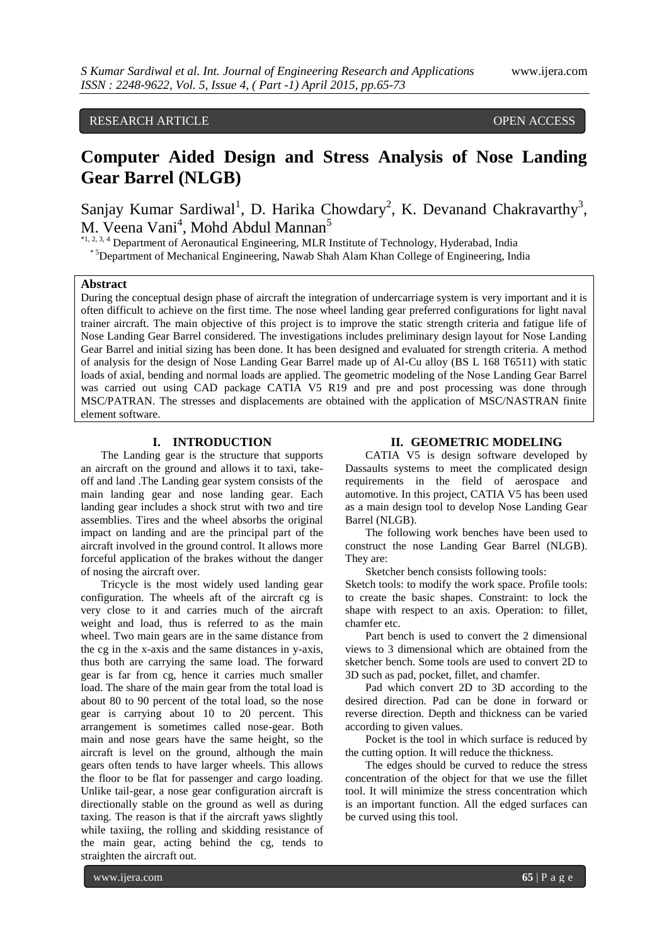# RESEARCH ARTICLE **CONSERVERS** OPEN ACCESS

# **Computer Aided Design and Stress Analysis of Nose Landing Gear Barrel (NLGB)**

Sanjay Kumar Sardiwal<sup>1</sup>, D. Harika Chowdary<sup>2</sup>, K. Devanand Chakravarthy<sup>3</sup>, M. Veena Vani<sup>4</sup>, Mohd Abdul Mannan<sup>5</sup>

\*1, 2, 3, 4 Department of Aeronautical Engineering, MLR Institute of Technology, Hyderabad, India \* 5Department of Mechanical Engineering, Nawab Shah Alam Khan College of Engineering, India

### **Abstract**

During the conceptual design phase of aircraft the integration of undercarriage system is very important and it is often difficult to achieve on the first time. The nose wheel landing gear preferred configurations for light naval trainer aircraft. The main objective of this project is to improve the static strength criteria and fatigue life of Nose Landing Gear Barrel considered. The investigations includes preliminary design layout for Nose Landing Gear Barrel and initial sizing has been done. It has been designed and evaluated for strength criteria. A method of analysis for the design of Nose Landing Gear Barrel made up of Al-Cu alloy (BS L 168 T6511) with static loads of axial, bending and normal loads are applied. The geometric modeling of the Nose Landing Gear Barrel was carried out using CAD package CATIA V5 R19 and pre and post processing was done through MSC/PATRAN. The stresses and displacements are obtained with the application of MSC/NASTRAN finite element software.

#### **I. INTRODUCTION**

The Landing gear is the structure that supports an aircraft on the ground and allows it to taxi, takeoff and land .The Landing gear system consists of the main landing gear and nose landing gear. Each landing gear includes a shock strut with two and tire assemblies. Tires and the wheel absorbs the original impact on landing and are the principal part of the aircraft involved in the ground control. It allows more forceful application of the brakes without the danger of nosing the aircraft over.

Tricycle is the most widely used landing gear configuration. The wheels aft of the aircraft cg is very close to it and carries much of the aircraft weight and load, thus is referred to as the main wheel. Two main gears are in the same distance from the cg in the x-axis and the same distances in y-axis, thus both are carrying the same load. The forward gear is far from cg, hence it carries much smaller load. The share of the main gear from the total load is about 80 to 90 percent of the total load, so the nose gear is carrying about 10 to 20 percent. This arrangement is sometimes called nose-gear. Both main and nose gears have the same height, so the aircraft is level on the ground, although the main gears often tends to have larger wheels. This allows the floor to be flat for passenger and cargo loading. Unlike tail-gear, a nose gear configuration aircraft is directionally stable on the ground as well as during taxing. The reason is that if the aircraft yaws slightly while taxiing, the rolling and skidding resistance of the main gear, acting behind the cg, tends to straighten the aircraft out.

#### **II. GEOMETRIC MODELING**

CATIA V5 is design software developed by Dassaults systems to meet the complicated design requirements in the field of aerospace and automotive. In this project, CATIA V5 has been used as a main design tool to develop Nose Landing Gear Barrel (NLGB).

The following work benches have been used to construct the nose Landing Gear Barrel (NLGB). They are:

Sketcher bench consists following tools:

Sketch tools: to modify the work space. Profile tools: to create the basic shapes. Constraint: to lock the shape with respect to an axis. Operation: to fillet, chamfer etc.

Part bench is used to convert the 2 dimensional views to 3 dimensional which are obtained from the sketcher bench. Some tools are used to convert 2D to 3D such as pad, pocket, fillet, and chamfer.

Pad which convert 2D to 3D according to the desired direction. Pad can be done in forward or reverse direction. Depth and thickness can be varied according to given values.

Pocket is the tool in which surface is reduced by the cutting option. It will reduce the thickness.

The edges should be curved to reduce the stress concentration of the object for that we use the fillet tool. It will minimize the stress concentration which is an important function. All the edged surfaces can be curved using this tool.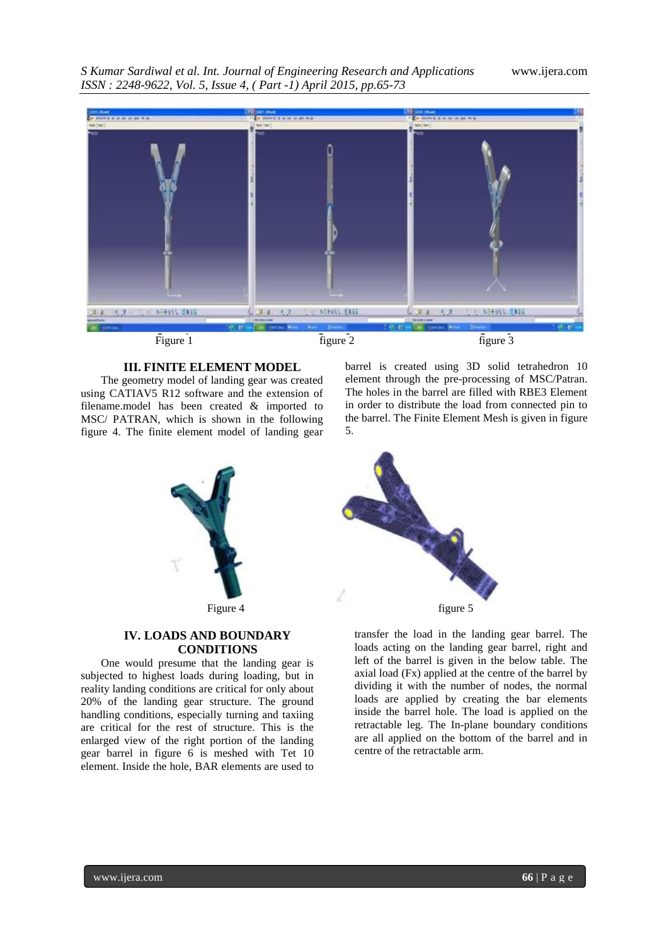*S Kumar Sardiwal et al. Int. Journal of Engineering Research and Applications* www.ijera.com *ISSN : 2248-9622, Vol. 5, Issue 4, ( Part -1) April 2015, pp.65-73*



Figure 1 figure 2 figure 3

# **III. FINITE ELEMENT MODEL**

The geometry model of landing gear was created using CATIAV5 R12 software and the extension of filename.model has been created & imported to MSC/ PATRAN, which is shown in the following figure 4. The finite element model of landing gear barrel is created using 3D solid tetrahedron 10 element through the pre-processing of MSC/Patran. The holes in the barrel are filled with RBE3 Element in order to distribute the load from connected pin to the barrel. The Finite Element Mesh is given in figure 5.





# **CONDITIONS**

One would presume that the landing gear is subjected to highest loads during loading, but in reality landing conditions are critical for only about 20% of the landing gear structure. The ground handling conditions, especially turning and taxiing are critical for the rest of structure. This is the enlarged view of the right portion of the landing gear barrel in figure 6 is meshed with Tet 10 element. Inside the hole, BAR elements are used to



transfer the load in the landing gear barrel. The loads acting on the landing gear barrel, right and left of the barrel is given in the below table. The axial load (Fx) applied at the centre of the barrel by dividing it with the number of nodes, the normal loads are applied by creating the bar elements inside the barrel hole. The load is applied on the retractable leg. The In-plane boundary conditions are all applied on the bottom of the barrel and in centre of the retractable arm.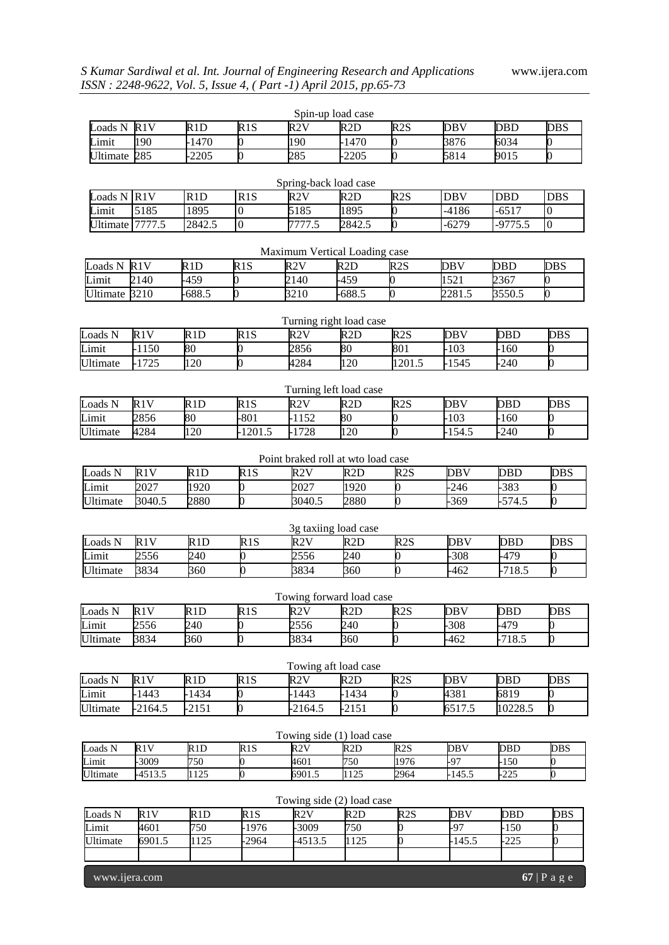|                               |                 |                   |                  |                                    | Spin-up load case       |                 |            |            |                  |
|-------------------------------|-----------------|-------------------|------------------|------------------------------------|-------------------------|-----------------|------------|------------|------------------|
| Loads N                       | R1V             | R1D               | R1S              | R2V                                | R2D                     | R2S             | <b>DBV</b> | <b>DBD</b> | <b>DBS</b>       |
| Limit                         | 190             | 1470              | 0                | 190                                | $-1470$                 | 0               | 3876       | 6034       | 0                |
| <b>Ultimate</b>               | 285             | $\overline{2}205$ | 0                | 285                                | 2205                    | 0               | 5814       | 9015       |                  |
|                               |                 |                   |                  |                                    |                         |                 |            |            |                  |
|                               |                 |                   |                  | Spring-back load case              |                         |                 |            |            |                  |
| Loads N R1V                   |                 | R1D               | R1S              | R2V                                | R <sub>2</sub> D        | R2S             | <b>DBV</b> | <b>DBD</b> | <b>DBS</b>       |
| Limit                         | 5185            | 1895              | $\boldsymbol{0}$ | 5185                               | 1895                    | 0               | $-4186$    | $-6517$    | $\boldsymbol{0}$ |
|                               | Ultimate 7777.5 | 2842.5            | $\boldsymbol{0}$ | 7777.5                             | 2842.5                  | 0               | $-6279$    | $-9775.5$  | $\boldsymbol{0}$ |
|                               |                 |                   |                  |                                    |                         |                 |            |            |                  |
| Maximum Vertical Loading case |                 |                   |                  |                                    |                         |                 |            |            |                  |
| Loads N                       | R1V             | R1D               | R1S              | R2V                                | R2D                     | R2S             | <b>DBV</b> | <b>DBD</b> | <b>DBS</b>       |
| Limit                         | 2140            | $-459$            | 0                | 2140                               | 459                     | 0               | 1521       | 2367       | 0                |
| Ultimate 3210                 |                 | 688.5             | 0                | 3210                               | $-688.5$                | 0               | 2281.5     | 3550.5     | $\boldsymbol{0}$ |
|                               |                 |                   |                  |                                    |                         |                 |            |            |                  |
|                               |                 |                   |                  | Turning right load case            |                         |                 |            |            |                  |
| Loads N                       | R1V             | R1D               | R1S              | R2V                                | R <sub>2</sub> D        | R2S             | <b>DBV</b> | <b>DBD</b> | <b>DBS</b>       |
| Limit                         | $-1150$         | 80                | 0                | 2856                               | 80                      | 801             | $-103$     | $-160$     |                  |
| Ultimate                      | 1725            | 120               | 0                | 4284                               | 120                     | 1201.5          | 1545       | 240        | O                |
|                               |                 |                   |                  |                                    |                         |                 |            |            |                  |
|                               |                 |                   |                  |                                    | Turning left load case  |                 |            |            |                  |
| Loads N                       | R1V             | R1D               | R1S              | R2V                                | R2D                     | R2S             | DBV        | <b>DBD</b> | DBS              |
| Limit                         | 2856            | 80                | $-801$           | $-1152$                            | 80                      | 0               | $-103$     | $-160$     | D                |
| Ultimate                      | 4284            | 120               | $-1201.5$        | $-1728$                            | 120                     | 0               | 154.5      | 240        | 0                |
|                               |                 |                   |                  |                                    |                         |                 |            |            |                  |
|                               |                 |                   |                  | Point braked roll at wto load case |                         |                 |            |            |                  |
| Loads N                       | R1V             | R1D               | R1S              | R2V                                | R <sub>2</sub> D        | R2S             | <b>DBV</b> | DBD        | <b>DBS</b>       |
| Limit                         | 2027            | 1920              | O                | 2027                               | 1920                    | 0               | 246        | $-383$     | 0                |
| Ultimate                      | 3040.5          | 2880              | 0                | 3040.5                             | 2880                    | 0               | 369        | $-574.5$   | 0                |
|                               |                 |                   |                  |                                    |                         |                 |            |            |                  |
|                               |                 |                   |                  |                                    | 3g taxiing load case    |                 |            |            |                  |
| Loads N                       | R1V             | R1D               | R1S              | R2V                                | R2D                     | R2S             | <b>DBV</b> | <b>DBD</b> | <b>DBS</b>       |
| Limit                         | 2556            | 240               | 0                | 2556                               | 240                     | 0               | $-308$     | $-479$     | 0                |
| Ultimate                      | 3834            | 360               | 0                | 3834                               | 360                     | 0               | $-462$     | $-718.5$   | $\mathbf 0$      |
| Towing forward load case      |                 |                   |                  |                                    |                         |                 |            |            |                  |
|                               | R1V             | R1D               | R1S              |                                    |                         | R <sub>2S</sub> | <b>DBV</b> | <b>DBD</b> |                  |
| Loads N<br>Limit              | 2556            | 240               | 0                | R2V<br>2556                        | R <sub>2</sub> D<br>240 | 0               | $-308$     | $-479$     | <b>DBS</b><br>0  |
| Ultimate                      | 3834            | 360               | 0                | 3834                               | 360                     | $\overline{0}$  | $-462$     | $-718.5$   |                  |
|                               |                 |                   |                  |                                    |                         |                 |            |            |                  |
|                               |                 |                   |                  |                                    | Towing aft load case    |                 |            |            |                  |
| Loads N                       | R1V             | R1D               | R1S              | R2V                                | R <sub>2</sub> D        | R2S             | <b>DBV</b> | <b>DBD</b> | <b>DBS</b>       |
| Limit                         | $-1443$         | $-1434$           | 0                | $-1443$                            | $-1434$                 | 0               | 4381       | 6819       |                  |
| Ultimate                      | 2164.5          | 2151              | $\mathbf{0}$     | $-2164.5$                          | $-2151$                 | 0               | 6517.5     | 10228.5    | 0                |
|                               |                 |                   |                  |                                    |                         |                 |            |            |                  |
|                               |                 |                   |                  | Towing side (1) load case          |                         |                 |            |            |                  |
| Loads N                       | R1V             | R1D               | R1S              | R2V                                | R2D                     | R2S             | <b>DBV</b> | <b>DBD</b> | <b>DBS</b>       |
| $\overline{\text{Limit}}$     | $-3009$         | 750               |                  | 4601                               | 750                     | 1976            | $-97$      | $-150$     | 0                |
| Ultimate                      | $-4513.5$       | 1125              |                  | 6901.5                             | 1125                    | 2964            | $-145.5$   | $-225$     | 0                |
|                               |                 |                   |                  |                                    |                         |                 |            |            |                  |
| Towing side (2) load case     |                 |                   |                  |                                    |                         |                 |            |            |                  |
| Loads N                       | R1V             | R1D               | R1S              | R2V                                | R2D                     | R2S             | DBV        | <b>DBD</b> | DBS              |
| Limit                         | 4601            | 750               | 1976             | -3009                              | 750                     |                 | $-97$      | $-150$     | 0                |
| Ultimate                      | 6901.5          | 1125              | 2964             | $-4513.5$                          | 1125                    | 0               | $-145.5$   | $-225$     | 0                |
|                               |                 |                   |                  |                                    |                         |                 |            |            |                  |

www.ijera.com **67** | P a g e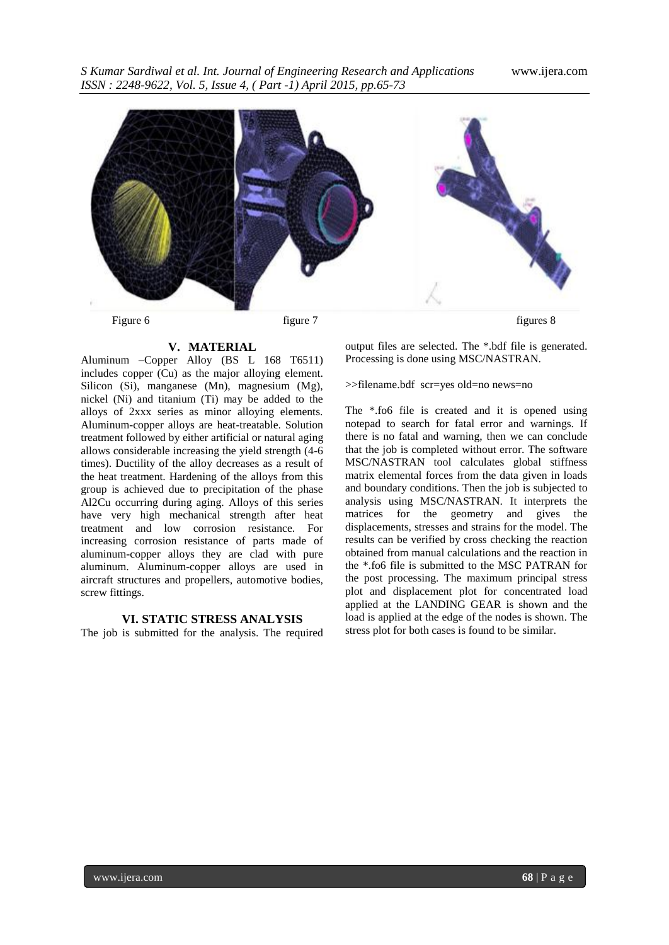

#### **V. MATERIAL**

Aluminum –Copper Alloy (BS L 168 T6511) includes copper (Cu) as the major alloying element. Silicon (Si), manganese (Mn), magnesium (Mg), nickel (Ni) and titanium (Ti) may be added to the alloys of 2xxx series as minor alloying elements. Aluminum-copper alloys are heat-treatable. Solution treatment followed by either artificial or natural aging allows considerable increasing the yield strength (4-6 times). Ductility of the alloy decreases as a result of the heat treatment. Hardening of the alloys from this group is achieved due to precipitation of the phase Al2Cu occurring during aging. Alloys of this series have very high mechanical strength after heat treatment and low corrosion resistance. For increasing corrosion resistance of parts made of aluminum-copper alloys they are clad with pure aluminum. Aluminum-copper alloys are used in aircraft structures and propellers, automotive bodies, screw fittings.

### **VI. STATIC STRESS ANALYSIS**

The job is submitted for the analysis. The required

output files are selected. The \*.bdf file is generated. Processing is done using MSC/NASTRAN.

#### >>filename.bdf scr=yes old=no news=no

The \*.fo6 file is created and it is opened using notepad to search for fatal error and warnings. If there is no fatal and warning, then we can conclude that the job is completed without error. The software MSC/NASTRAN tool calculates global stiffness matrix elemental forces from the data given in loads and boundary conditions. Then the job is subjected to analysis using MSC/NASTRAN. It interprets the matrices for the geometry and gives the displacements, stresses and strains for the model. The results can be verified by cross checking the reaction obtained from manual calculations and the reaction in the \*.fo6 file is submitted to the MSC PATRAN for the post processing. The maximum principal stress plot and displacement plot for concentrated load applied at the LANDING GEAR is shown and the load is applied at the edge of the nodes is shown. The stress plot for both cases is found to be similar.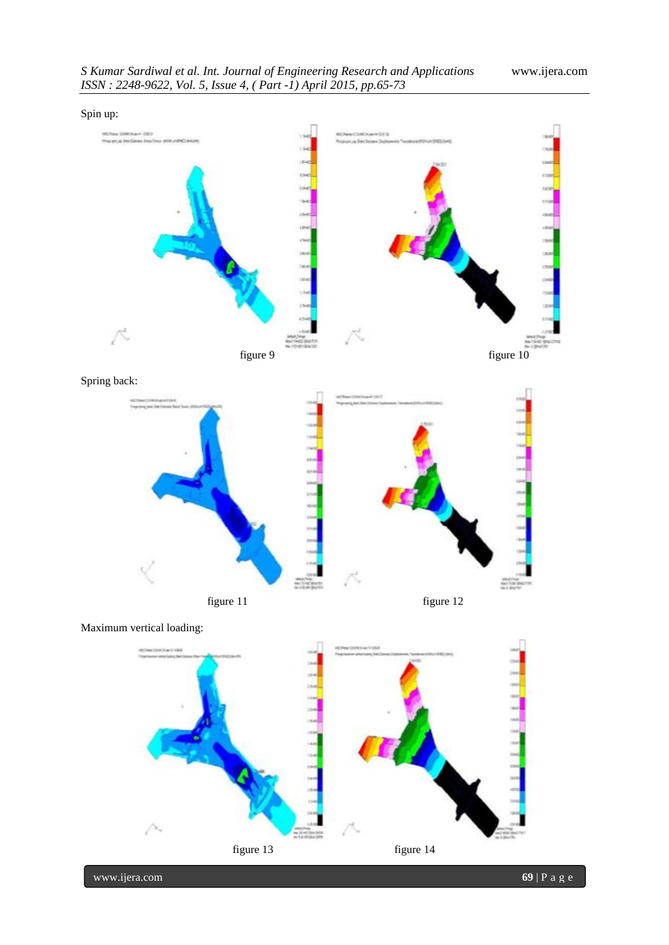

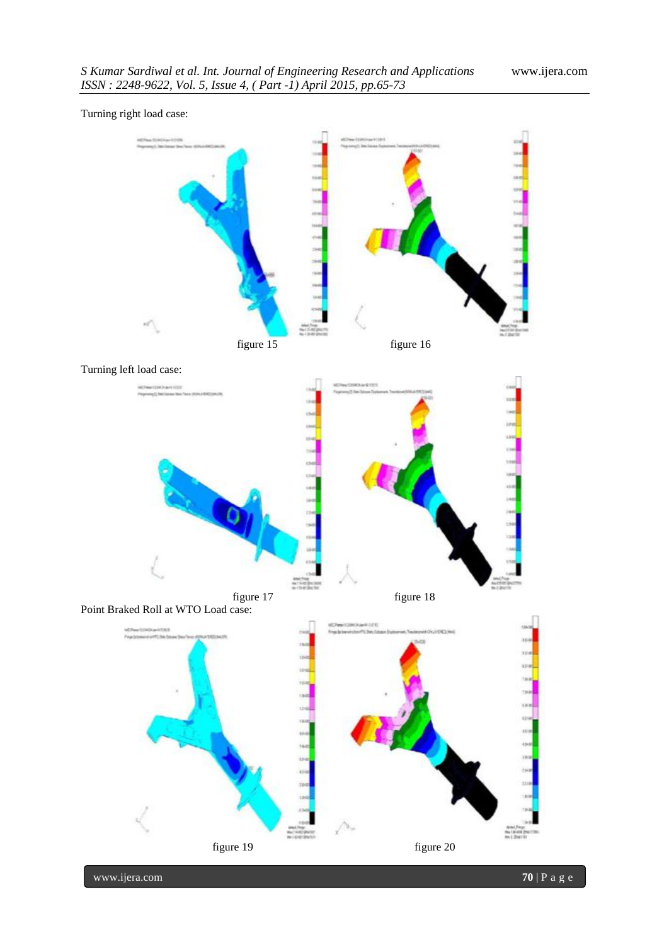

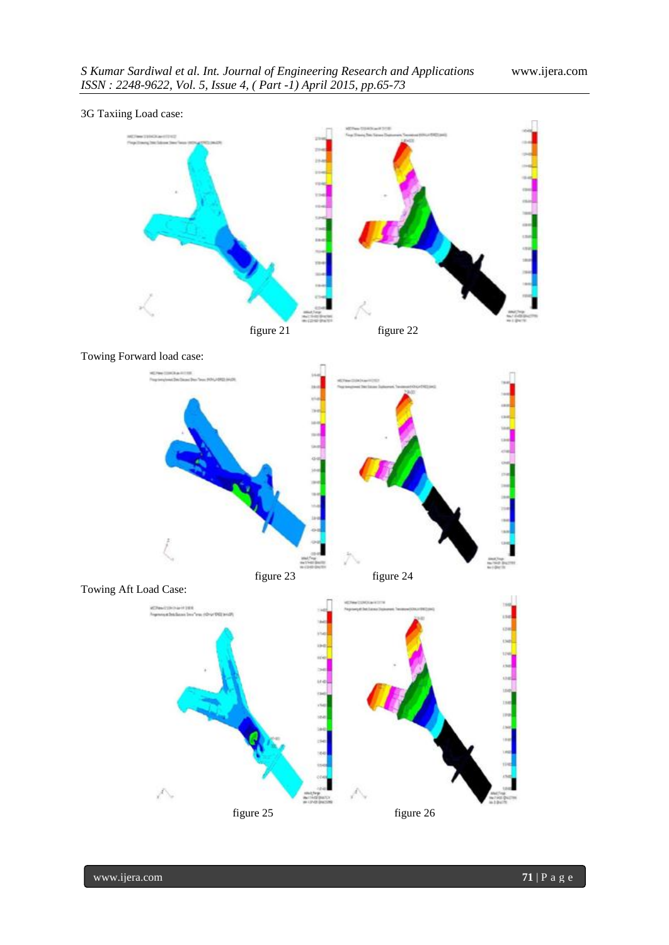



Towing Aft Load Case:

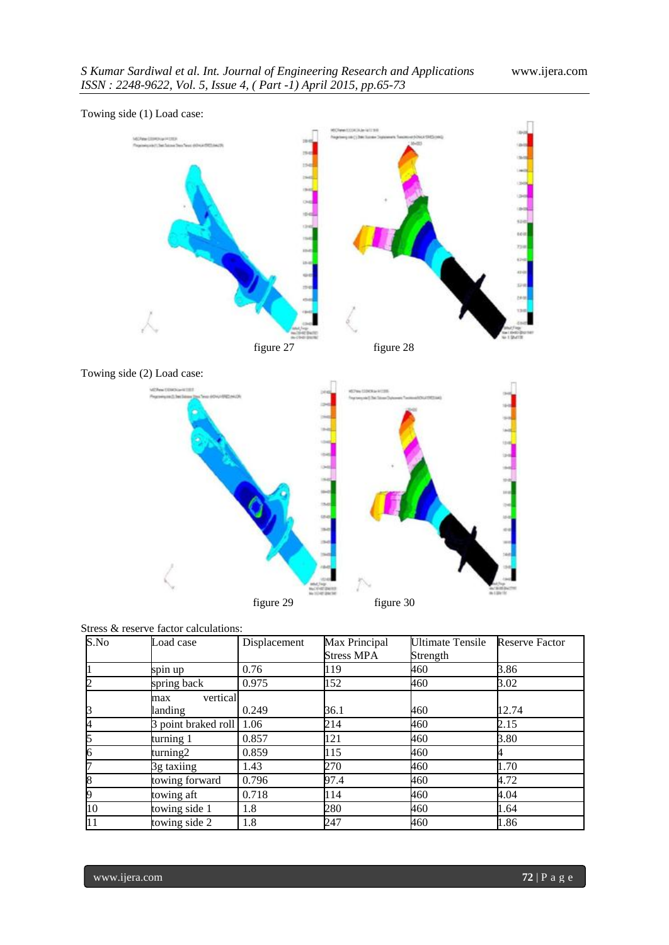

Towing side (1) Load case:





|  |  |  |  | Stress & reserve factor calculations: |
|--|--|--|--|---------------------------------------|
|--|--|--|--|---------------------------------------|

| S.No | Load case           | Displacement | Max Principal | Ultimate Tensile | <b>Reserve Factor</b> |
|------|---------------------|--------------|---------------|------------------|-----------------------|
|      |                     |              | Stress MPA    | Strength         |                       |
|      | spin up             | 0.76         | 119           | 460              | 3.86                  |
| Þ    | spring back         | 0.975        | 152           | 460              | 3.02                  |
|      | vertical<br>max     |              |               |                  |                       |
| B    | landing             | 0.249        | 36.1          | 460              | 12.74                 |
| A    | 3 point braked roll | 1.06         | 214           | 460              | 2.15                  |
| 15   | turning 1           | 0.857        | 121           | 460              | 3.80                  |
| 16   | turning2            | 0.859        | 115           | 460              |                       |
| n    | 3g taxiing          | 1.43         | 270           | 460              | 1.70                  |
| ß    | towing forward      | 0.796        | 97.4          | 460              | 4.72                  |
| 19   | towing aft          | 0.718        | 114           | 460              | 4.04                  |
| 10   | towing side 1       | 1.8          | 280           | 460              | 1.64                  |
| 11   | towing side 2       | 1.8          | 247           | 460              | 1.86                  |